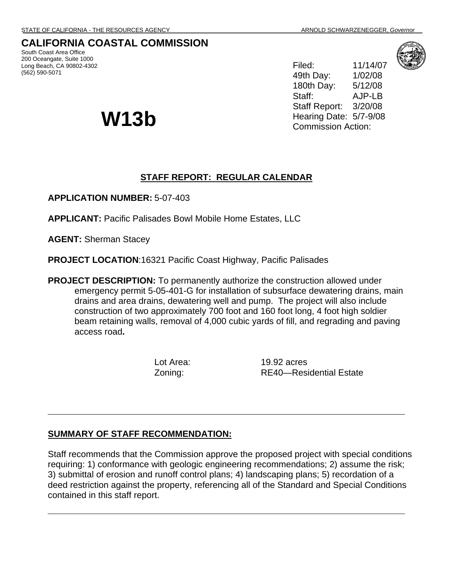South Coast Area Office 200 Oceangate, Suite 1000 Long Beach, CA 90802-4302

(562) 590-5071

**CALIFORNIA COASTAL COMMISSION** 

Filed: 11/14/07 49th Day: 1/02/08 180th Day: 5/12/08 Staff: AJP-LB Staff Report: 3/20/08 Hearing Date: 5/7-9/08 **W13b** Hearing Date: 5/7-9<br>Commission Action:

## **STAFF REPORT: REGULAR CALENDAR**

**APPLICATION NUMBER:** 5-07-403

**APPLICANT:** Pacific Palisades Bowl Mobile Home Estates, LLC

**AGENT:** Sherman Stacey

**PROJECT LOCATION**:16321 Pacific Coast Highway, Pacific Palisades

**PROJECT DESCRIPTION:** To permanently authorize the construction allowed under emergency permit 5-05-401-G for installation of subsurface dewatering drains, main drains and area drains, dewatering well and pump. The project will also include construction of two approximately 700 foot and 160 foot long, 4 foot high soldier beam retaining walls, removal of 4,000 cubic yards of fill, and regrading and paving access road**.** 

Lot Area: 19.92 acres Zoning: RE40—Residential Estate

### **SUMMARY OF STAFF RECOMMENDATION:**

Staff recommends that the Commission approve the proposed project with special conditions requiring: 1) conformance with geologic engineering recommendations; 2) assume the risk; 3) submittal of erosion and runoff control plans; 4) landscaping plans; 5) recordation of a deed restriction against the property, referencing all of the Standard and Special Conditions contained in this staff report.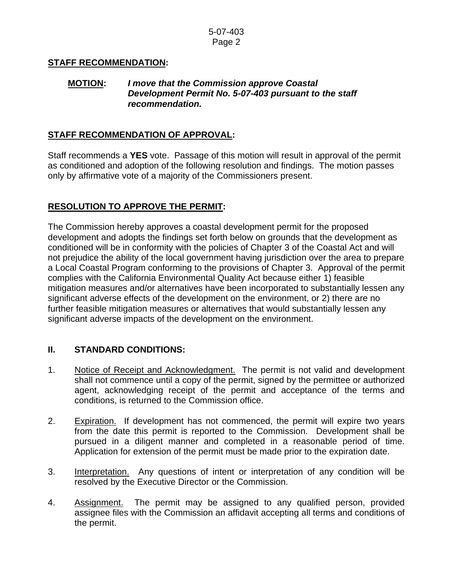## **STAFF RECOMMENDATION:**

#### **MOTION:** *I move that the Commission approve Coastal Development Permit No. 5-07-403 pursuant to the staff recommendation.*

## **STAFF RECOMMENDATION OF APPROVAL:**

Staff recommends a **YES** vote. Passage of this motion will result in approval of the permit as conditioned and adoption of the following resolution and findings. The motion passes only by affirmative vote of a majority of the Commissioners present.

# **RESOLUTION TO APPROVE THE PERMIT:**

The Commission hereby approves a coastal development permit for the proposed development and adopts the findings set forth below on grounds that the development as conditioned will be in conformity with the policies of Chapter 3 of the Coastal Act and will not prejudice the ability of the local government having jurisdiction over the area to prepare a Local Coastal Program conforming to the provisions of Chapter 3. Approval of the permit complies with the California Environmental Quality Act because either 1) feasible mitigation measures and/or alternatives have been incorporated to substantially lessen any significant adverse effects of the development on the environment, or 2) there are no further feasible mitigation measures or alternatives that would substantially lessen any significant adverse impacts of the development on the environment.

# **II. STANDARD CONDITIONS:**

- 1. Notice of Receipt and Acknowledgment. The permit is not valid and development shall not commence until a copy of the permit, signed by the permittee or authorized agent, acknowledging receipt of the permit and acceptance of the terms and conditions, is returned to the Commission office.
- 2. Expiration. If development has not commenced, the permit will expire two years from the date this permit is reported to the Commission. Development shall be pursued in a diligent manner and completed in a reasonable period of time. Application for extension of the permit must be made prior to the expiration date.
- 3. Interpretation. Any questions of intent or interpretation of any condition will be resolved by the Executive Director or the Commission.
- 4. Assignment. The permit may be assigned to any qualified person, provided assignee files with the Commission an affidavit accepting all terms and conditions of the permit.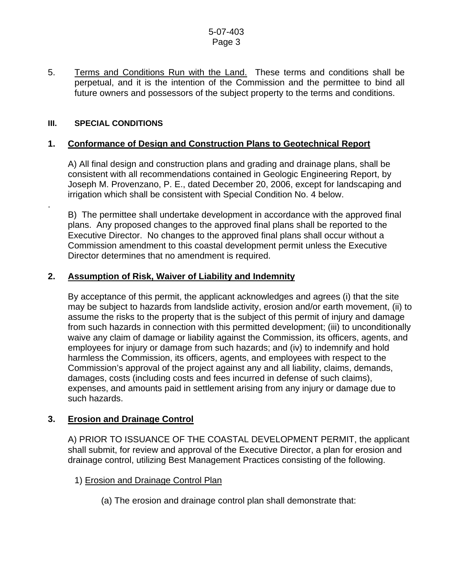5. Terms and Conditions Run with the Land. These terms and conditions shall be perpetual, and it is the intention of the Commission and the permittee to bind all future owners and possessors of the subject property to the terms and conditions.

### **III. SPECIAL CONDITIONS**

.

## **1. Conformance of Design and Construction Plans to Geotechnical Report**

 A) All final design and construction plans and grading and drainage plans, shall be consistent with all recommendations contained in Geologic Engineering Report, by Joseph M. Provenzano, P. E., dated December 20, 2006, except for landscaping and irrigation which shall be consistent with Special Condition No. 4 below.

 B) The permittee shall undertake development in accordance with the approved final plans. Any proposed changes to the approved final plans shall be reported to the Executive Director. No changes to the approved final plans shall occur without a Commission amendment to this coastal development permit unless the Executive Director determines that no amendment is required.

## **2. Assumption of Risk, Waiver of Liability and Indemnity**

 By acceptance of this permit, the applicant acknowledges and agrees (i) that the site may be subject to hazards from landslide activity, erosion and/or earth movement, (ii) to assume the risks to the property that is the subject of this permit of injury and damage from such hazards in connection with this permitted development; (iii) to unconditionally waive any claim of damage or liability against the Commission, its officers, agents, and employees for injury or damage from such hazards; and (iv) to indemnify and hold harmless the Commission, its officers, agents, and employees with respect to the Commission's approval of the project against any and all liability, claims, demands, damages, costs (including costs and fees incurred in defense of such claims), expenses, and amounts paid in settlement arising from any injury or damage due to such hazards.

### **3. Erosion and Drainage Control**

 A) PRIOR TO ISSUANCE OF THE COASTAL DEVELOPMENT PERMIT, the applicant shall submit, for review and approval of the Executive Director, a plan for erosion and drainage control, utilizing Best Management Practices consisting of the following.

### 1) Erosion and Drainage Control Plan

(a) The erosion and drainage control plan shall demonstrate that: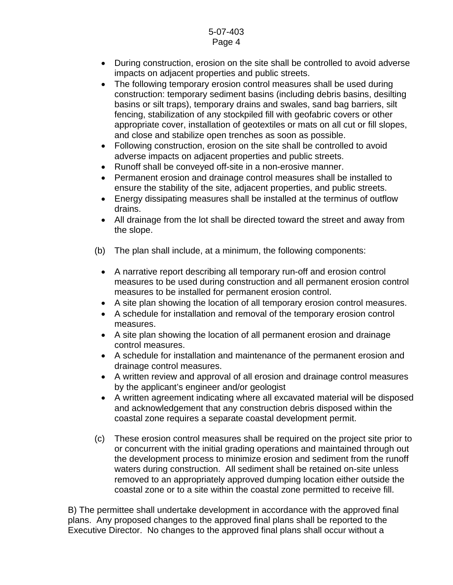- During construction, erosion on the site shall be controlled to avoid adverse impacts on adjacent properties and public streets.
- The following temporary erosion control measures shall be used during construction: temporary sediment basins (including debris basins, desilting basins or silt traps), temporary drains and swales, sand bag barriers, silt fencing, stabilization of any stockpiled fill with geofabric covers or other appropriate cover, installation of geotextiles or mats on all cut or fill slopes, and close and stabilize open trenches as soon as possible.
- Following construction, erosion on the site shall be controlled to avoid adverse impacts on adjacent properties and public streets.
- Runoff shall be conveyed off-site in a non-erosive manner.
- Permanent erosion and drainage control measures shall be installed to ensure the stability of the site, adjacent properties, and public streets.
- Energy dissipating measures shall be installed at the terminus of outflow drains.
- All drainage from the lot shall be directed toward the street and away from the slope.
- (b) The plan shall include, at a minimum, the following components:
	- A narrative report describing all temporary run-off and erosion control measures to be used during construction and all permanent erosion control measures to be installed for permanent erosion control.
	- A site plan showing the location of all temporary erosion control measures.
	- A schedule for installation and removal of the temporary erosion control measures.
	- A site plan showing the location of all permanent erosion and drainage control measures.
	- A schedule for installation and maintenance of the permanent erosion and drainage control measures.
	- A written review and approval of all erosion and drainage control measures by the applicant's engineer and/or geologist
	- A written agreement indicating where all excavated material will be disposed and acknowledgement that any construction debris disposed within the coastal zone requires a separate coastal development permit.
- (c) These erosion control measures shall be required on the project site prior to or concurrent with the initial grading operations and maintained through out the development process to minimize erosion and sediment from the runoff waters during construction. All sediment shall be retained on-site unless removed to an appropriately approved dumping location either outside the coastal zone or to a site within the coastal zone permitted to receive fill.

 B) The permittee shall undertake development in accordance with the approved final plans. Any proposed changes to the approved final plans shall be reported to the Executive Director. No changes to the approved final plans shall occur without a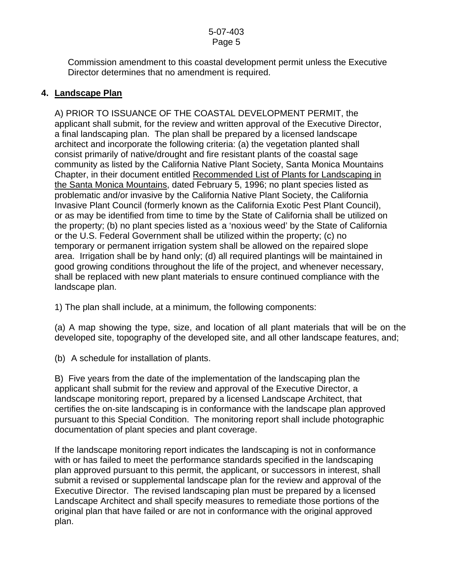Commission amendment to this coastal development permit unless the Executive Director determines that no amendment is required.

## **4. Landscape Plan**

 A) PRIOR TO ISSUANCE OF THE COASTAL DEVELOPMENT PERMIT, the applicant shall submit, for the review and written approval of the Executive Director, a final landscaping plan. The plan shall be prepared by a licensed landscape architect and incorporate the following criteria: (a) the vegetation planted shall consist primarily of native/drought and fire resistant plants of the coastal sage community as listed by the California Native Plant Society, Santa Monica Mountains Chapter, in their document entitled Recommended List of Plants for Landscaping in the Santa Monica Mountains, dated February 5, 1996; no plant species listed as problematic and/or invasive by the California Native Plant Society, the California Invasive Plant Council (formerly known as the California Exotic Pest Plant Council), or as may be identified from time to time by the State of California shall be utilized on the property; (b) no plant species listed as a 'noxious weed' by the State of California or the U.S. Federal Government shall be utilized within the property; (c) no temporary or permanent irrigation system shall be allowed on the repaired slope area. Irrigation shall be by hand only; (d) all required plantings will be maintained in good growing conditions throughout the life of the project, and whenever necessary, shall be replaced with new plant materials to ensure continued compliance with the landscape plan.

1) The plan shall include, at a minimum, the following components:

 (a) A map showing the type, size, and location of all plant materials that will be on the developed site, topography of the developed site, and all other landscape features, and;

(b) A schedule for installation of plants.

 B) Five years from the date of the implementation of the landscaping plan the applicant shall submit for the review and approval of the Executive Director, a landscape monitoring report, prepared by a licensed Landscape Architect, that certifies the on-site landscaping is in conformance with the landscape plan approved pursuant to this Special Condition. The monitoring report shall include photographic documentation of plant species and plant coverage.

 If the landscape monitoring report indicates the landscaping is not in conformance with or has failed to meet the performance standards specified in the landscaping plan approved pursuant to this permit, the applicant, or successors in interest, shall submit a revised or supplemental landscape plan for the review and approval of the Executive Director. The revised landscaping plan must be prepared by a licensed Landscape Architect and shall specify measures to remediate those portions of the original plan that have failed or are not in conformance with the original approved plan.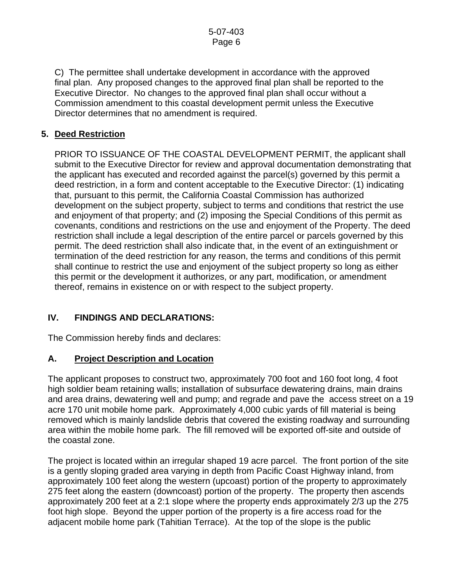C) The permittee shall undertake development in accordance with the approved final plan. Any proposed changes to the approved final plan shall be reported to the Executive Director. No changes to the approved final plan shall occur without a Commission amendment to this coastal development permit unless the Executive Director determines that no amendment is required.

# **5. Deed Restriction**

PRIOR TO ISSUANCE OF THE COASTAL DEVELOPMENT PERMIT, the applicant shall submit to the Executive Director for review and approval documentation demonstrating that the applicant has executed and recorded against the parcel(s) governed by this permit a deed restriction, in a form and content acceptable to the Executive Director: (1) indicating that, pursuant to this permit, the California Coastal Commission has authorized development on the subject property, subject to terms and conditions that restrict the use and enjoyment of that property; and (2) imposing the Special Conditions of this permit as covenants, conditions and restrictions on the use and enjoyment of the Property. The deed restriction shall include a legal description of the entire parcel or parcels governed by this permit. The deed restriction shall also indicate that, in the event of an extinguishment or termination of the deed restriction for any reason, the terms and conditions of this permit shall continue to restrict the use and enjoyment of the subject property so long as either this permit or the development it authorizes, or any part, modification, or amendment thereof, remains in existence on or with respect to the subject property.

# **IV. FINDINGS AND DECLARATIONS:**

The Commission hereby finds and declares:

# **A. Project Description and Location**

The applicant proposes to construct two, approximately 700 foot and 160 foot long, 4 foot high soldier beam retaining walls; installation of subsurface dewatering drains, main drains and area drains, dewatering well and pump; and regrade and pave the access street on a 19 acre 170 unit mobile home park. Approximately 4,000 cubic yards of fill material is being removed which is mainly landslide debris that covered the existing roadway and surrounding area within the mobile home park. The fill removed will be exported off-site and outside of the coastal zone.

The project is located within an irregular shaped 19 acre parcel. The front portion of the site is a gently sloping graded area varying in depth from Pacific Coast Highway inland, from approximately 100 feet along the western (upcoast) portion of the property to approximately 275 feet along the eastern (downcoast) portion of the property. The property then ascends approximately 200 feet at a 2:1 slope where the property ends approximately 2/3 up the 275 foot high slope. Beyond the upper portion of the property is a fire access road for the adjacent mobile home park (Tahitian Terrace). At the top of the slope is the public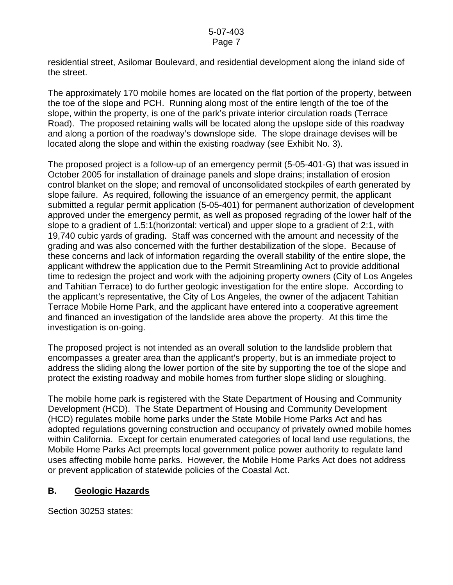residential street, Asilomar Boulevard, and residential development along the inland side of the street.

The approximately 170 mobile homes are located on the flat portion of the property, between the toe of the slope and PCH. Running along most of the entire length of the toe of the slope, within the property, is one of the park's private interior circulation roads (Terrace Road). The proposed retaining walls will be located along the upslope side of this roadway and along a portion of the roadway's downslope side. The slope drainage devises will be located along the slope and within the existing roadway (see Exhibit No. 3).

The proposed project is a follow-up of an emergency permit (5-05-401-G) that was issued in October 2005 for installation of drainage panels and slope drains; installation of erosion control blanket on the slope; and removal of unconsolidated stockpiles of earth generated by slope failure. As required, following the issuance of an emergency permit, the applicant submitted a regular permit application (5-05-401) for permanent authorization of development approved under the emergency permit, as well as proposed regrading of the lower half of the slope to a gradient of 1.5:1(horizontal: vertical) and upper slope to a gradient of 2:1, with 19,740 cubic yards of grading. Staff was concerned with the amount and necessity of the grading and was also concerned with the further destabilization of the slope. Because of these concerns and lack of information regarding the overall stability of the entire slope, the applicant withdrew the application due to the Permit Streamlining Act to provide additional time to redesign the project and work with the adjoining property owners (City of Los Angeles and Tahitian Terrace) to do further geologic investigation for the entire slope. According to the applicant's representative, the City of Los Angeles, the owner of the adjacent Tahitian Terrace Mobile Home Park, and the applicant have entered into a cooperative agreement and financed an investigation of the landslide area above the property. At this time the investigation is on-going.

The proposed project is not intended as an overall solution to the landslide problem that encompasses a greater area than the applicant's property, but is an immediate project to address the sliding along the lower portion of the site by supporting the toe of the slope and protect the existing roadway and mobile homes from further slope sliding or sloughing.

The mobile home park is registered with the State Department of Housing and Community Development (HCD). The State Department of Housing and Community Development (HCD) regulates mobile home parks under the State Mobile Home Parks Act and has adopted regulations governing construction and occupancy of privately owned mobile homes within California. Except for certain enumerated categories of local land use regulations, the Mobile Home Parks Act preempts local government police power authority to regulate land uses affecting mobile home parks. However, the Mobile Home Parks Act does not address or prevent application of statewide policies of the Coastal Act.

### **B. Geologic Hazards**

Section 30253 states: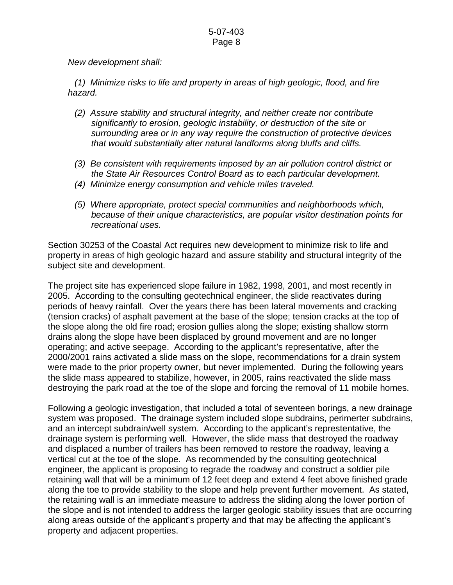*New development shall:* 

 *(1) Minimize risks to life and property in areas of high geologic, flood, and fire hazard.* 

- *(2) Assure stability and structural integrity, and neither create nor contribute significantly to erosion, geologic instability, or destruction of the site or surrounding area or in any way require the construction of protective devices that would substantially alter natural landforms along bluffs and cliffs.*
- *(3) Be consistent with requirements imposed by an air pollution control district or the State Air Resources Control Board as to each particular development.*
- *(4) Minimize energy consumption and vehicle miles traveled.*
- *(5) Where appropriate, protect special communities and neighborhoods which, because of their unique characteristics, are popular visitor destination points for recreational uses.*

Section 30253 of the Coastal Act requires new development to minimize risk to life and property in areas of high geologic hazard and assure stability and structural integrity of the subject site and development.

The project site has experienced slope failure in 1982, 1998, 2001, and most recently in 2005. According to the consulting geotechnical engineer, the slide reactivates during periods of heavy rainfall. Over the years there has been lateral movements and cracking (tension cracks) of asphalt pavement at the base of the slope; tension cracks at the top of the slope along the old fire road; erosion gullies along the slope; existing shallow storm drains along the slope have been displaced by ground movement and are no longer operating; and active seepage. According to the applicant's representative, after the 2000/2001 rains activated a slide mass on the slope, recommendations for a drain system were made to the prior property owner, but never implemented. During the following years the slide mass appeared to stabilize, however, in 2005, rains reactivated the slide mass destroying the park road at the toe of the slope and forcing the removal of 11 mobile homes.

Following a geologic investigation, that included a total of seventeen borings, a new drainage system was proposed. The drainage system included slope subdrains, perimerter subdrains, and an intercept subdrain/well system. According to the applicant's represtentative, the drainage system is performing well. However, the slide mass that destroyed the roadway and displaced a number of trailers has been removed to restore the roadway, leaving a vertical cut at the toe of the slope. As recommended by the consulting geotechnical engineer, the applicant is proposing to regrade the roadway and construct a soldier pile retaining wall that will be a minimum of 12 feet deep and extend 4 feet above finished grade along the toe to provide stability to the slope and help prevent further movement. As stated, the retaining wall is an immediate measure to address the sliding along the lower portion of the slope and is not intended to address the larger geologic stability issues that are occurring along areas outside of the applicant's property and that may be affecting the applicant's property and adjacent properties.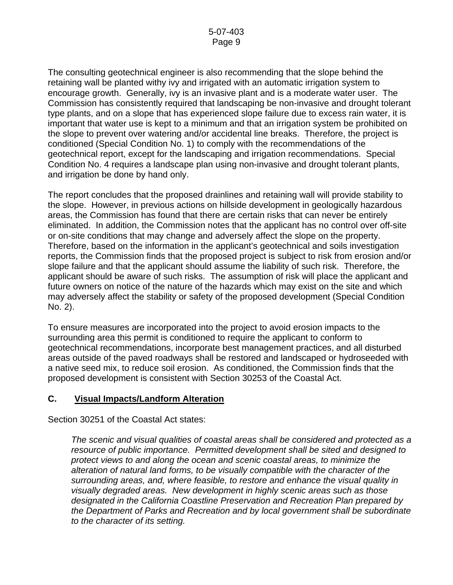The consulting geotechnical engineer is also recommending that the slope behind the retaining wall be planted withy ivy and irrigated with an automatic irrigation system to encourage growth. Generally, ivy is an invasive plant and is a moderate water user. The Commission has consistently required that landscaping be non-invasive and drought tolerant type plants, and on a slope that has experienced slope failure due to excess rain water, it is important that water use is kept to a minimum and that an irrigation system be prohibited on the slope to prevent over watering and/or accidental line breaks. Therefore, the project is conditioned (Special Condition No. 1) to comply with the recommendations of the geotechnical report, except for the landscaping and irrigation recommendations. Special Condition No. 4 requires a landscape plan using non-invasive and drought tolerant plants, and irrigation be done by hand only.

The report concludes that the proposed drainlines and retaining wall will provide stability to the slope. However, in previous actions on hillside development in geologically hazardous areas, the Commission has found that there are certain risks that can never be entirely eliminated. In addition, the Commission notes that the applicant has no control over off-site or on-site conditions that may change and adversely affect the slope on the property. Therefore, based on the information in the applicant's geotechnical and soils investigation reports, the Commission finds that the proposed project is subject to risk from erosion and/or slope failure and that the applicant should assume the liability of such risk. Therefore, the applicant should be aware of such risks. The assumption of risk will place the applicant and future owners on notice of the nature of the hazards which may exist on the site and which may adversely affect the stability or safety of the proposed development (Special Condition No. 2).

To ensure measures are incorporated into the project to avoid erosion impacts to the surrounding area this permit is conditioned to require the applicant to conform to geotechnical recommendations, incorporate best management practices, and all disturbed areas outside of the paved roadways shall be restored and landscaped or hydroseeded with a native seed mix, to reduce soil erosion. As conditioned, the Commission finds that the proposed development is consistent with Section 30253 of the Coastal Act.

### **C. Visual Impacts/Landform Alteration**

Section 30251 of the Coastal Act states:

*The scenic and visual qualities of coastal areas shall be considered and protected as a resource of public importance. Permitted development shall be sited and designed to protect views to and along the ocean and scenic coastal areas, to minimize the alteration of natural land forms, to be visually compatible with the character of the surrounding areas, and, where feasible, to restore and enhance the visual quality in visually degraded areas. New development in highly scenic areas such as those designated in the California Coastline Preservation and Recreation Plan prepared by the Department of Parks and Recreation and by local government shall be subordinate to the character of its setting.*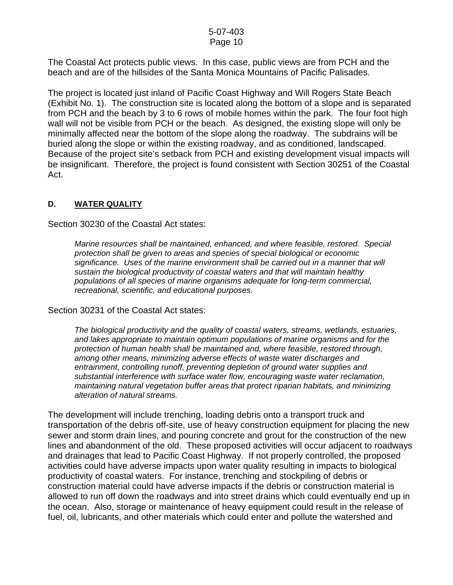The Coastal Act protects public views. In this case, public views are from PCH and the beach and are of the hillsides of the Santa Monica Mountains of Pacific Palisades.

The project is located just inland of Pacific Coast Highway and Will Rogers State Beach (Exhibit No. 1). The construction site is located along the bottom of a slope and is separated from PCH and the beach by 3 to 6 rows of mobile homes within the park. The four foot high wall will not be visible from PCH or the beach. As designed, the existing slope will only be minimally affected near the bottom of the slope along the roadway. The subdrains will be buried along the slope or within the existing roadway, and as conditioned, landscaped. Because of the project site's setback from PCH and existing development visual impacts will be insignificant. Therefore, the project is found consistent with Section 30251 of the Coastal Act.

#### **D. WATER QUALITY**

Section 30230 of the Coastal Act states:

*Marine resources shall be maintained, enhanced, and where feasible, restored. Special protection shall be given to areas and species of special biological or economic significance. Uses of the marine environment shall be carried out in a manner that will sustain the biological productivity of coastal waters and that will maintain healthy populations of all species of marine organisms adequate for long-term commercial, recreational, scientific, and educational purposes.* 

Section 30231 of the Coastal Act states:

*The biological productivity and the quality of coastal waters, streams, wetlands, estuaries, and lakes appropriate to maintain optimum populations of marine organisms and for the protection of human health shall be maintained and, where feasible, restored through, among other means, minimizing adverse effects of waste water discharges and entrainment, controlling runoff, preventing depletion of ground water supplies and substantial interference with surface water flow, encouraging waste water reclamation, maintaining natural vegetation buffer areas that protect riparian habitats, and minimizing alteration of natural streams.* 

The development will include trenching, loading debris onto a transport truck and transportation of the debris off-site, use of heavy construction equipment for placing the new sewer and storm drain lines, and pouring concrete and grout for the construction of the new lines and abandonment of the old. These proposed activities will occur adjacent to roadways and drainages that lead to Pacific Coast Highway. If not properly controlled, the proposed activities could have adverse impacts upon water quality resulting in impacts to biological productivity of coastal waters. For instance, trenching and stockpiling of debris or construction material could have adverse impacts if the debris or construction material is allowed to run off down the roadways and into street drains which could eventually end up in the ocean. Also, storage or maintenance of heavy equipment could result in the release of fuel, oil, lubricants, and other materials which could enter and pollute the watershed and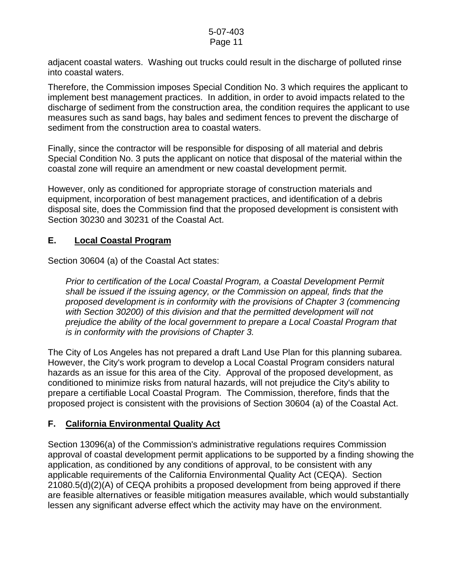adjacent coastal waters. Washing out trucks could result in the discharge of polluted rinse into coastal waters.

Therefore, the Commission imposes Special Condition No. 3 which requires the applicant to implement best management practices. In addition, in order to avoid impacts related to the discharge of sediment from the construction area, the condition requires the applicant to use measures such as sand bags, hay bales and sediment fences to prevent the discharge of sediment from the construction area to coastal waters.

Finally, since the contractor will be responsible for disposing of all material and debris Special Condition No. 3 puts the applicant on notice that disposal of the material within the coastal zone will require an amendment or new coastal development permit.

However, only as conditioned for appropriate storage of construction materials and equipment, incorporation of best management practices, and identification of a debris disposal site, does the Commission find that the proposed development is consistent with Section 30230 and 30231 of the Coastal Act.

# **E. Local Coastal Program**

Section 30604 (a) of the Coastal Act states:

*Prior to certification of the Local Coastal Program, a Coastal Development Permit shall be issued if the issuing agency, or the Commission on appeal, finds that the proposed development is in conformity with the provisions of Chapter 3 (commencing with Section 30200) of this division and that the permitted development will not prejudice the ability of the local government to prepare a Local Coastal Program that is in conformity with the provisions of Chapter 3.* 

The City of Los Angeles has not prepared a draft Land Use Plan for this planning subarea. However, the City's work program to develop a Local Coastal Program considers natural hazards as an issue for this area of the City. Approval of the proposed development, as conditioned to minimize risks from natural hazards, will not prejudice the City's ability to prepare a certifiable Local Coastal Program. The Commission, therefore, finds that the proposed project is consistent with the provisions of Section 30604 (a) of the Coastal Act.

# **F. California Environmental Quality Act**

Section 13096(a) of the Commission's administrative regulations requires Commission approval of coastal development permit applications to be supported by a finding showing the application, as conditioned by any conditions of approval, to be consistent with any applicable requirements of the California Environmental Quality Act (CEQA). Section 21080.5(d)(2)(A) of CEQA prohibits a proposed development from being approved if there are feasible alternatives or feasible mitigation measures available, which would substantially lessen any significant adverse effect which the activity may have on the environment.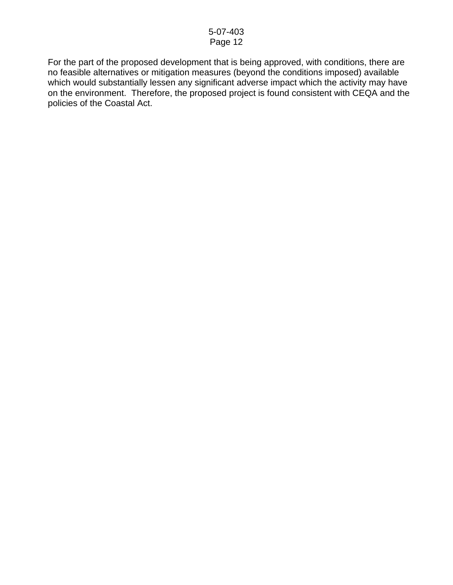For the part of the proposed development that is being approved, with conditions, there are no feasible alternatives or mitigation measures (beyond the conditions imposed) available which would substantially lessen any significant adverse impact which the activity may have on the environment. Therefore, the proposed project is found consistent with CEQA and the policies of the Coastal Act.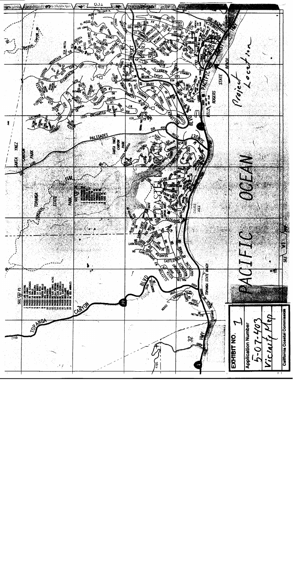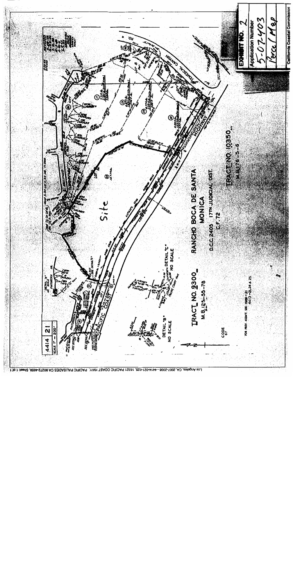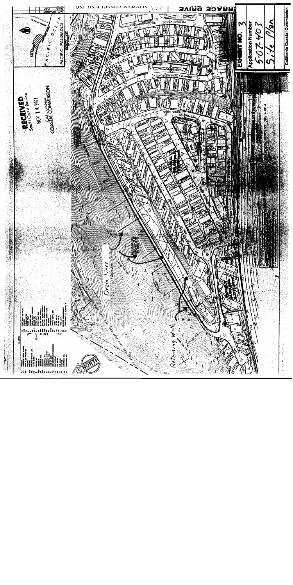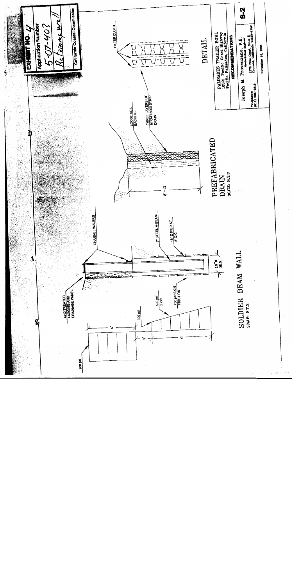